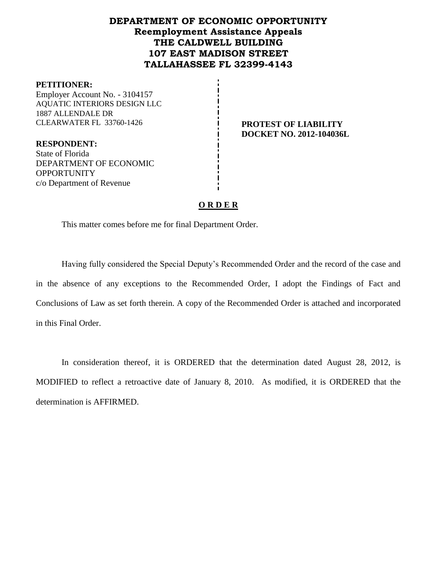# **DEPARTMENT OF ECONOMIC OPPORTUNITY Reemployment Assistance Appeals THE CALDWELL BUILDING 107 EAST MADISON STREET TALLAHASSEE FL 32399-4143**

#### **PETITIONER:**

Employer Account No. - 3104157 AQUATIC INTERIORS DESIGN LLC 1887 ALLENDALE DR CLEARWATER FL 33760-1426 **PROTEST OF LIABILITY**

**DOCKET NO. 2012-104036L**

**RESPONDENT:** State of Florida DEPARTMENT OF ECONOMIC **OPPORTUNITY** c/o Department of Revenue

### **O R D E R**

This matter comes before me for final Department Order.

Having fully considered the Special Deputy's Recommended Order and the record of the case and in the absence of any exceptions to the Recommended Order, I adopt the Findings of Fact and Conclusions of Law as set forth therein. A copy of the Recommended Order is attached and incorporated in this Final Order.

In consideration thereof, it is ORDERED that the determination dated August 28, 2012, is MODIFIED to reflect a retroactive date of January 8, 2010. As modified, it is ORDERED that the determination is AFFIRMED.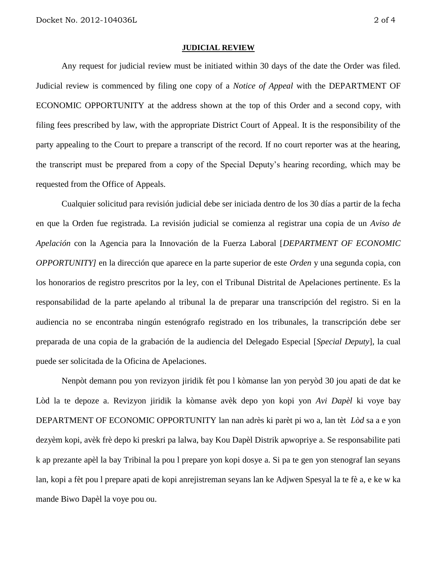#### **JUDICIAL REVIEW**

Any request for judicial review must be initiated within 30 days of the date the Order was filed. Judicial review is commenced by filing one copy of a *Notice of Appeal* with the DEPARTMENT OF ECONOMIC OPPORTUNITY at the address shown at the top of this Order and a second copy, with filing fees prescribed by law, with the appropriate District Court of Appeal. It is the responsibility of the party appealing to the Court to prepare a transcript of the record. If no court reporter was at the hearing, the transcript must be prepared from a copy of the Special Deputy's hearing recording, which may be requested from the Office of Appeals.

Cualquier solicitud para revisión judicial debe ser iniciada dentro de los 30 días a partir de la fecha en que la Orden fue registrada. La revisión judicial se comienza al registrar una copia de un *Aviso de Apelación* con la Agencia para la Innovación de la Fuerza Laboral [*DEPARTMENT OF ECONOMIC OPPORTUNITY]* en la dirección que aparece en la parte superior de este *Orden* y una segunda copia, con los honorarios de registro prescritos por la ley, con el Tribunal Distrital de Apelaciones pertinente. Es la responsabilidad de la parte apelando al tribunal la de preparar una transcripción del registro. Si en la audiencia no se encontraba ningún estenógrafo registrado en los tribunales, la transcripción debe ser preparada de una copia de la grabación de la audiencia del Delegado Especial [*Special Deputy*], la cual puede ser solicitada de la Oficina de Apelaciones.

Nenpòt demann pou yon revizyon jiridik fèt pou l kòmanse lan yon peryòd 30 jou apati de dat ke Lòd la te depoze a. Revizyon jiridik la kòmanse avèk depo yon kopi yon *Avi Dapèl* ki voye bay DEPARTMENT OF ECONOMIC OPPORTUNITY lan nan adrès ki parèt pi wo a, lan tèt *Lòd* sa a e yon dezyèm kopi, avèk frè depo ki preskri pa lalwa, bay Kou Dapèl Distrik apwopriye a. Se responsabilite pati k ap prezante apèl la bay Tribinal la pou l prepare yon kopi dosye a. Si pa te gen yon stenograf lan seyans lan, kopi a fèt pou l prepare apati de kopi anrejistreman seyans lan ke Adjwen Spesyal la te fè a, e ke w ka mande Biwo Dapèl la voye pou ou.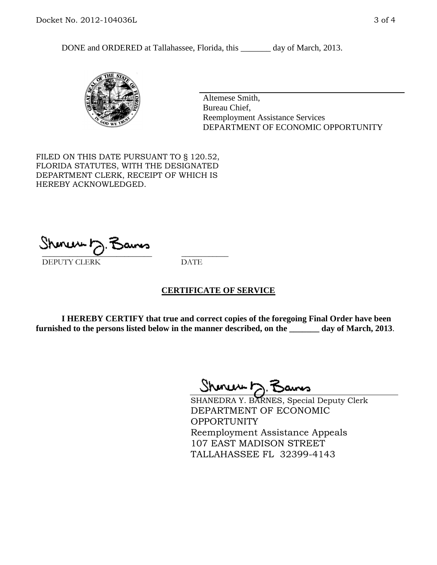DONE and ORDERED at Tallahassee, Florida, this \_\_\_\_\_\_\_ day of March, 2013.



Altemese Smith, Bureau Chief, Reemployment Assistance Services DEPARTMENT OF ECONOMIC OPPORTUNITY

FILED ON THIS DATE PURSUANT TO § 120.52, FLORIDA STATUTES, WITH THE DESIGNATED DEPARTMENT CLERK, RECEIPT OF WHICH IS HEREBY ACKNOWLEDGED.

 $\overline{\phantom{a}}$  ,  $\overline{\phantom{a}}$  ,  $\overline{\phantom{a}}$  ,  $\overline{\phantom{a}}$  ,  $\overline{\phantom{a}}$  ,  $\overline{\phantom{a}}$  ,  $\overline{\phantom{a}}$  ,  $\overline{\phantom{a}}$ DEPUTY CLERK DATE

### **CERTIFICATE OF SERVICE**

**I HEREBY CERTIFY that true and correct copies of the foregoing Final Order have been furnished to the persons listed below in the manner described, on the \_\_\_\_\_\_\_ day of March, 2013**.

Shenux D.F

SHANEDRA Y. BARNES, Special Deputy Clerk DEPARTMENT OF ECONOMIC **OPPORTUNITY** Reemployment Assistance Appeals 107 EAST MADISON STREET TALLAHASSEE FL 32399-4143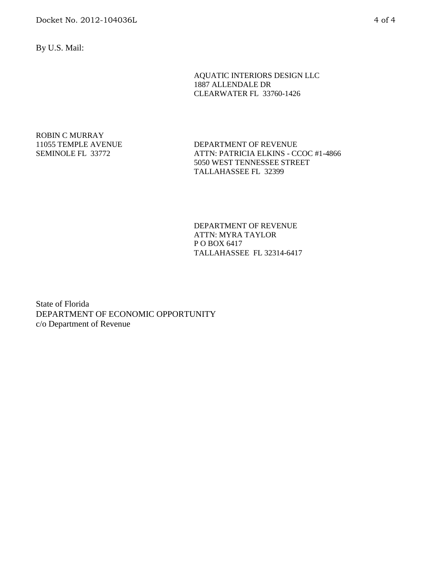By U.S. Mail:

AQUATIC INTERIORS DESIGN LLC 1887 ALLENDALE DR CLEARWATER FL 33760-1426

### ROBIN C MURRAY 11055 TEMPLE AVENUE SEMINOLE FL 33772

DEPARTMENT OF REVENUE ATTN: PATRICIA ELKINS - CCOC #1-4866 5050 WEST TENNESSEE STREET TALLAHASSEE FL 32399

DEPARTMENT OF REVENUE ATTN: MYRA TAYLOR P O BOX 6417 TALLAHASSEE FL 32314-6417

State of Florida DEPARTMENT OF ECONOMIC OPPORTUNITY c/o Department of Revenue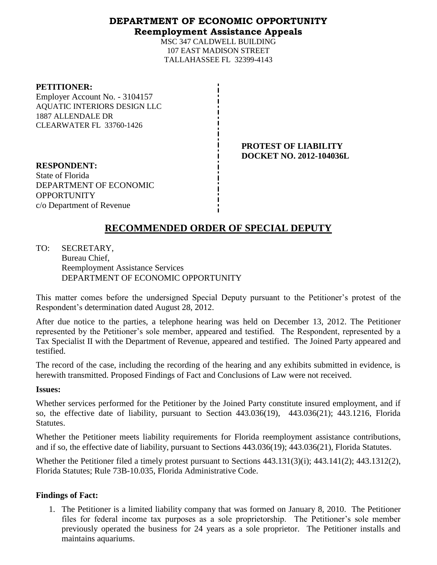## **DEPARTMENT OF ECONOMIC OPPORTUNITY Reemployment Assistance Appeals**

MSC 347 CALDWELL BUILDING 107 EAST MADISON STREET TALLAHASSEE FL 32399-4143

### **PETITIONER:**

Employer Account No. - 3104157 AQUATIC INTERIORS DESIGN LLC 1887 ALLENDALE DR CLEARWATER FL 33760-1426

> **PROTEST OF LIABILITY DOCKET NO. 2012-104036L**

**RESPONDENT:** State of Florida DEPARTMENT OF ECONOMIC **OPPORTUNITY** c/o Department of Revenue

# **RECOMMENDED ORDER OF SPECIAL DEPUTY**

TO: SECRETARY, Bureau Chief, Reemployment Assistance Services DEPARTMENT OF ECONOMIC OPPORTUNITY

This matter comes before the undersigned Special Deputy pursuant to the Petitioner's protest of the Respondent's determination dated August 28, 2012.

After due notice to the parties, a telephone hearing was held on December 13, 2012. The Petitioner represented by the Petitioner's sole member, appeared and testified. The Respondent, represented by a Tax Specialist II with the Department of Revenue, appeared and testified. The Joined Party appeared and testified.

The record of the case, including the recording of the hearing and any exhibits submitted in evidence, is herewith transmitted. Proposed Findings of Fact and Conclusions of Law were not received.

### **Issues:**

Whether services performed for the Petitioner by the Joined Party constitute insured employment, and if so, the effective date of liability, pursuant to Section 443.036(19), 443.036(21); 443.1216, Florida Statutes.

Whether the Petitioner meets liability requirements for Florida reemployment assistance contributions, and if so, the effective date of liability, pursuant to Sections 443.036(19); 443.036(21), Florida Statutes.

Whether the Petitioner filed a timely protest pursuant to Sections 443.131(3)(i); 443.141(2); 443.1312(2), Florida Statutes; Rule 73B-10.035, Florida Administrative Code.

## **Findings of Fact:**

1. The Petitioner is a limited liability company that was formed on January 8, 2010. The Petitioner files for federal income tax purposes as a sole proprietorship. The Petitioner's sole member previously operated the business for 24 years as a sole proprietor. The Petitioner installs and maintains aquariums.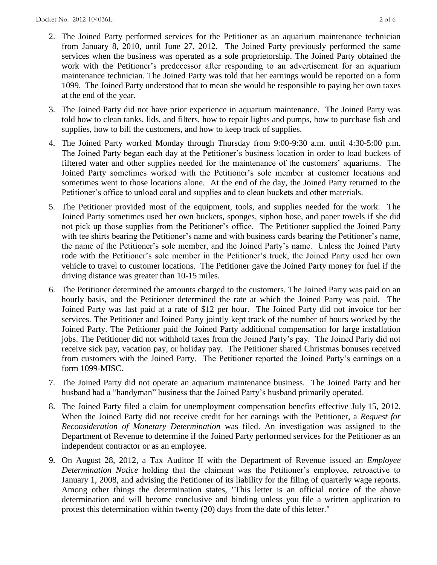- 2. The Joined Party performed services for the Petitioner as an aquarium maintenance technician from January 8, 2010, until June 27, 2012. The Joined Party previously performed the same services when the business was operated as a sole proprietorship. The Joined Party obtained the work with the Petitioner's predecessor after responding to an advertisement for an aquarium maintenance technician. The Joined Party was told that her earnings would be reported on a form 1099. The Joined Party understood that to mean she would be responsible to paying her own taxes at the end of the year.
- 3. The Joined Party did not have prior experience in aquarium maintenance. The Joined Party was told how to clean tanks, lids, and filters, how to repair lights and pumps, how to purchase fish and supplies, how to bill the customers, and how to keep track of supplies.
- 4. The Joined Party worked Monday through Thursday from 9:00-9:30 a.m. until 4:30-5:00 p.m. The Joined Party began each day at the Petitioner's business location in order to load buckets of filtered water and other supplies needed for the maintenance of the customers' aquariums. The Joined Party sometimes worked with the Petitioner's sole member at customer locations and sometimes went to those locations alone. At the end of the day, the Joined Party returned to the Petitioner's office to unload coral and supplies and to clean buckets and other materials.
- 5. The Petitioner provided most of the equipment, tools, and supplies needed for the work. The Joined Party sometimes used her own buckets, sponges, siphon hose, and paper towels if she did not pick up those supplies from the Petitioner's office. The Petitioner supplied the Joined Party with tee shirts bearing the Petitioner's name and with business cards bearing the Petitioner's name, the name of the Petitioner's sole member, and the Joined Party's name. Unless the Joined Party rode with the Petitioner's sole member in the Petitioner's truck, the Joined Party used her own vehicle to travel to customer locations. The Petitioner gave the Joined Party money for fuel if the driving distance was greater than 10-15 miles.
- 6. The Petitioner determined the amounts charged to the customers. The Joined Party was paid on an hourly basis, and the Petitioner determined the rate at which the Joined Party was paid. The Joined Party was last paid at a rate of \$12 per hour. The Joined Party did not invoice for her services. The Petitioner and Joined Party jointly kept track of the number of hours worked by the Joined Party. The Petitioner paid the Joined Party additional compensation for large installation jobs. The Petitioner did not withhold taxes from the Joined Party's pay. The Joined Party did not receive sick pay, vacation pay, or holiday pay. The Petitioner shared Christmas bonuses received from customers with the Joined Party. The Petitioner reported the Joined Party's earnings on a form 1099-MISC.
- 7. The Joined Party did not operate an aquarium maintenance business. The Joined Party and her husband had a "handyman" business that the Joined Party's husband primarily operated.
- 8. The Joined Party filed a claim for unemployment compensation benefits effective July 15, 2012. When the Joined Party did not receive credit for her earnings with the Petitioner, a *Request for Reconsideration of Monetary Determination* was filed. An investigation was assigned to the Department of Revenue to determine if the Joined Party performed services for the Petitioner as an independent contractor or as an employee.
- 9. On August 28, 2012, a Tax Auditor II with the Department of Revenue issued an *Employee Determination Notice* holding that the claimant was the Petitioner's employee, retroactive to January 1, 2008, and advising the Petitioner of its liability for the filing of quarterly wage reports. Among other things the determination states, "This letter is an official notice of the above determination and will become conclusive and binding unless you file a written application to protest this determination within twenty (20) days from the date of this letter."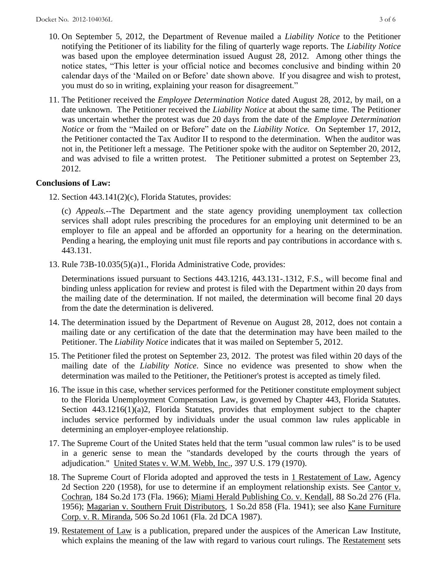- 10. On September 5, 2012, the Department of Revenue mailed a *Liability Notice* to the Petitioner notifying the Petitioner of its liability for the filing of quarterly wage reports. The *Liability Notice* was based upon the employee determination issued August 28, 2012. Among other things the notice states, "This letter is your official notice and becomes conclusive and binding within 20 calendar days of the 'Mailed on or Before' date shown above. If you disagree and wish to protest, you must do so in writing, explaining your reason for disagreement."
- 11. The Petitioner received the *Employee Determination Notice* dated August 28, 2012, by mail, on a date unknown. The Petitioner received the *Liability Notice* at about the same time. The Petitioner was uncertain whether the protest was due 20 days from the date of the *Employee Determination Notice* or from the "Mailed on or Before" date on the *Liability Notice.* On September 17, 2012, the Petitioner contacted the Tax Auditor II to respond to the determination. When the auditor was not in, the Petitioner left a message. The Petitioner spoke with the auditor on September 20, 2012, and was advised to file a written protest. The Petitioner submitted a protest on September 23, 2012.

## **Conclusions of Law:**

12. Section 443.141(2)(c), Florida Statutes, provides:

 (c) *Appeals.*--The Department and the state agency providing unemployment tax collection services shall adopt rules prescribing the procedures for an employing unit determined to be an employer to file an appeal and be afforded an opportunity for a hearing on the determination. Pending a hearing, the employing unit must file reports and pay contributions in accordance with s. 443.131.

13. Rule 73B-10.035(5)(a)1., Florida Administrative Code, provides:

 Determinations issued pursuant to Sections 443.1216, 443.131-.1312, F.S., will become final and binding unless application for review and protest is filed with the Department within 20 days from the mailing date of the determination. If not mailed, the determination will become final 20 days from the date the determination is delivered.

- 14. The determination issued by the Department of Revenue on August 28, 2012, does not contain a mailing date or any certification of the date that the determination may have been mailed to the Petitioner. The *Liability Notice* indicates that it was mailed on September 5, 2012.
- 15. The Petitioner filed the protest on September 23, 2012. The protest was filed within 20 days of the mailing date of the *Liability Notice*. Since no evidence was presented to show when the determination was mailed to the Petitioner, the Petitioner's protest is accepted as timely filed.
- 16. The issue in this case, whether services performed for the Petitioner constitute employment subject to the Florida Unemployment Compensation Law, is governed by Chapter 443, Florida Statutes. Section 443.1216(1)(a)2, Florida Statutes, provides that employment subject to the chapter includes service performed by individuals under the usual common law rules applicable in determining an employer-employee relationship.
- 17. The Supreme Court of the United States held that the term "usual common law rules" is to be used in a generic sense to mean the "standards developed by the courts through the years of adjudication." United States v. W.M. Webb, Inc., 397 U.S. 179 (1970).
- 18. The Supreme Court of Florida adopted and approved the tests in 1 Restatement of Law, Agency 2d Section 220 (1958), for use to determine if an employment relationship exists. See Cantor v. Cochran, 184 So.2d 173 (Fla. 1966); Miami Herald Publishing Co. v. Kendall, 88 So.2d 276 (Fla. 1956); Magarian v. Southern Fruit Distributors, 1 So.2d 858 (Fla. 1941); see also Kane Furniture Corp. v. R. Miranda, 506 So.2d 1061 (Fla. 2d DCA 1987).
- 19. Restatement of Law is a publication, prepared under the auspices of the American Law Institute, which explains the meaning of the law with regard to various court rulings. The Restatement sets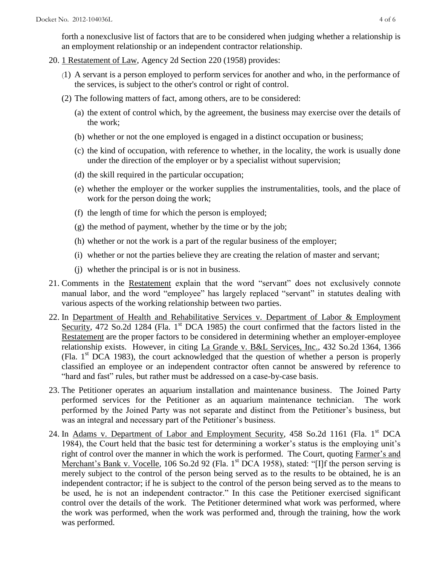forth a nonexclusive list of factors that are to be considered when judging whether a relationship is an employment relationship or an independent contractor relationship.

- 20. 1 Restatement of Law, Agency 2d Section 220 (1958) provides:
	- (1) A servant is a person employed to perform services for another and who, in the performance of the services, is subject to the other's control or right of control.
	- (2) The following matters of fact, among others, are to be considered:
		- (a) the extent of control which, by the agreement, the business may exercise over the details of the work;
		- (b) whether or not the one employed is engaged in a distinct occupation or business;
		- (c) the kind of occupation, with reference to whether, in the locality, the work is usually done under the direction of the employer or by a specialist without supervision;
		- (d) the skill required in the particular occupation;
		- (e) whether the employer or the worker supplies the instrumentalities, tools, and the place of work for the person doing the work;
		- (f) the length of time for which the person is employed;
		- $(g)$  the method of payment, whether by the time or by the job;
		- (h) whether or not the work is a part of the regular business of the employer;
		- (i) whether or not the parties believe they are creating the relation of master and servant;
		- (j) whether the principal is or is not in business.
- 21. Comments in the Restatement explain that the word "servant" does not exclusively connote manual labor, and the word "employee" has largely replaced "servant" in statutes dealing with various aspects of the working relationship between two parties.
- 22. In Department of Health and Rehabilitative Services v. Department of Labor & Employment Security, 472 So.2d 1284 (Fla. 1<sup>st</sup> DCA 1985) the court confirmed that the factors listed in the Restatement are the proper factors to be considered in determining whether an employer-employee relationship exists. However, in citing La Grande v. B&L Services, Inc., 432 So.2d 1364, 1366 (Fla. 1st DCA 1983), the court acknowledged that the question of whether a person is properly classified an employee or an independent contractor often cannot be answered by reference to "hard and fast" rules, but rather must be addressed on a case-by-case basis.
- 23. The Petitioner operates an aquarium installation and maintenance business. The Joined Party performed services for the Petitioner as an aquarium maintenance technician. The work performed by the Joined Party was not separate and distinct from the Petitioner's business, but was an integral and necessary part of the Petitioner's business.
- 24. In Adams v. Department of Labor and Employment Security, 458 So.2d 1161 (Fla. 1<sup>st</sup> DCA 1984), the Court held that the basic test for determining a worker's status is the employing unit's right of control over the manner in which the work is performed. The Court, quoting Farmer's and Merchant's Bank v. Vocelle, 106 So.2d 92 (Fla. 1<sup>st</sup> DCA 1958), stated: "[I]f the person serving is merely subject to the control of the person being served as to the results to be obtained, he is an independent contractor; if he is subject to the control of the person being served as to the means to be used, he is not an independent contractor." In this case the Petitioner exercised significant control over the details of the work. The Petitioner determined what work was performed, where the work was performed, when the work was performed and, through the training, how the work was performed.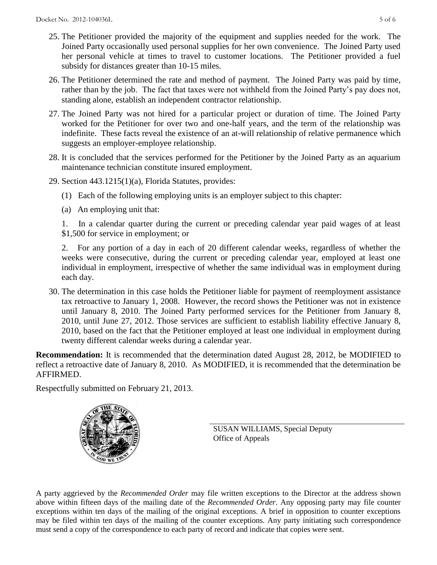- 25. The Petitioner provided the majority of the equipment and supplies needed for the work. The Joined Party occasionally used personal supplies for her own convenience. The Joined Party used her personal vehicle at times to travel to customer locations. The Petitioner provided a fuel subsidy for distances greater than 10-15 miles.
- 26. The Petitioner determined the rate and method of payment. The Joined Party was paid by time, rather than by the job. The fact that taxes were not withheld from the Joined Party's pay does not, standing alone, establish an independent contractor relationship.
- 27. The Joined Party was not hired for a particular project or duration of time. The Joined Party worked for the Petitioner for over two and one-half years, and the term of the relationship was indefinite. These facts reveal the existence of an at-will relationship of relative permanence which suggests an employer-employee relationship.
- 28. It is concluded that the services performed for the Petitioner by the Joined Party as an aquarium maintenance technician constitute insured employment.
- 29. Section 443.1215(1)(a), Florida Statutes, provides:
	- (1) Each of the following employing units is an employer subject to this chapter:
	- (a) An employing unit that:

 1. In a calendar quarter during the current or preceding calendar year paid wages of at least \$1,500 for service in employment; or

 2. For any portion of a day in each of 20 different calendar weeks, regardless of whether the weeks were consecutive, during the current or preceding calendar year, employed at least one individual in employment, irrespective of whether the same individual was in employment during each day.

30. The determination in this case holds the Petitioner liable for payment of reemployment assistance tax retroactive to January 1, 2008. However, the record shows the Petitioner was not in existence until January 8, 2010. The Joined Party performed services for the Petitioner from January 8, 2010, until June 27, 2012. Those services are sufficient to establish liability effective January 8, 2010, based on the fact that the Petitioner employed at least one individual in employment during twenty different calendar weeks during a calendar year.

**Recommendation:** It is recommended that the determination dated August 28, 2012, be MODIFIED to reflect a retroactive date of January 8, 2010. As MODIFIED, it is recommended that the determination be AFFIRMED.

Respectfully submitted on February 21, 2013.



SUSAN WILLIAMS, Special Deputy Office of Appeals

A party aggrieved by the *Recommended Order* may file written exceptions to the Director at the address shown above within fifteen days of the mailing date of the *Recommended Order*. Any opposing party may file counter exceptions within ten days of the mailing of the original exceptions. A brief in opposition to counter exceptions may be filed within ten days of the mailing of the counter exceptions. Any party initiating such correspondence must send a copy of the correspondence to each party of record and indicate that copies were sent.